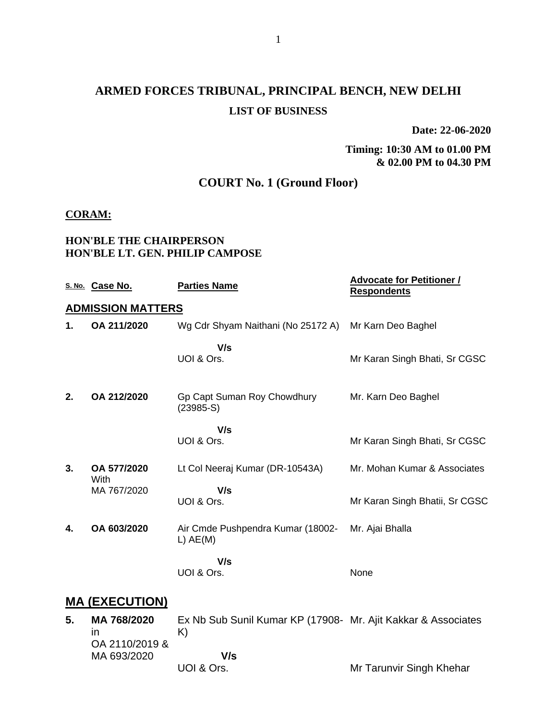# **ARMED FORCES TRIBUNAL, PRINCIPAL BENCH, NEW DELHI LIST OF BUSINESS**

**Date: 22-06-2020**

### **Timing: 10:30 AM to 01.00 PM & 02.00 PM to 04.30 PM**

# **COURT No. 1 (Ground Floor)**

#### **CORAM:**

#### **HON'BLE THE CHAIRPERSON HON'BLE LT. GEN. PHILIP CAMPOSE**

|    | S. No. Case No.          | <b>Parties Name</b>                             | <b>Advocate for Petitioner /</b><br><b>Respondents</b> |
|----|--------------------------|-------------------------------------------------|--------------------------------------------------------|
|    | <b>ADMISSION MATTERS</b> |                                                 |                                                        |
| 1. | OA 211/2020              | Wg Cdr Shyam Naithani (No 25172 A)              | Mr Karn Deo Baghel                                     |
|    |                          | V/s<br>UOI & Ors.                               | Mr Karan Singh Bhati, Sr CGSC                          |
| 2. | OA 212/2020              | Gp Capt Suman Roy Chowdhury<br>$(23985-S)$      | Mr. Karn Deo Baghel                                    |
|    |                          | V/s<br>UOI & Ors.                               | Mr Karan Singh Bhati, Sr CGSC                          |
| 3. | OA 577/2020              | Lt Col Neeraj Kumar (DR-10543A)                 | Mr. Mohan Kumar & Associates                           |
|    | With<br>MA 767/2020      | V/s<br>UOI & Ors.                               | Mr Karan Singh Bhatii, Sr CGSC                         |
| 4. | OA 603/2020              | Air Cmde Pushpendra Kumar (18002-<br>$L)$ AE(M) | Mr. Ajai Bhalla                                        |
|    |                          | V/s<br>UOI & Ors.                               | None                                                   |
|    | <b>MA (EXECUTION)</b>    |                                                 |                                                        |

#### **5. MA 768/2020** in OA 2110/2019 & MA 693/2020 Ex Nb Sub Sunil Kumar KP (17908- Mr. Ajit Kakkar & Associates K)  **V/s** UOI & Ors. Mr Tarunvir Singh Khehar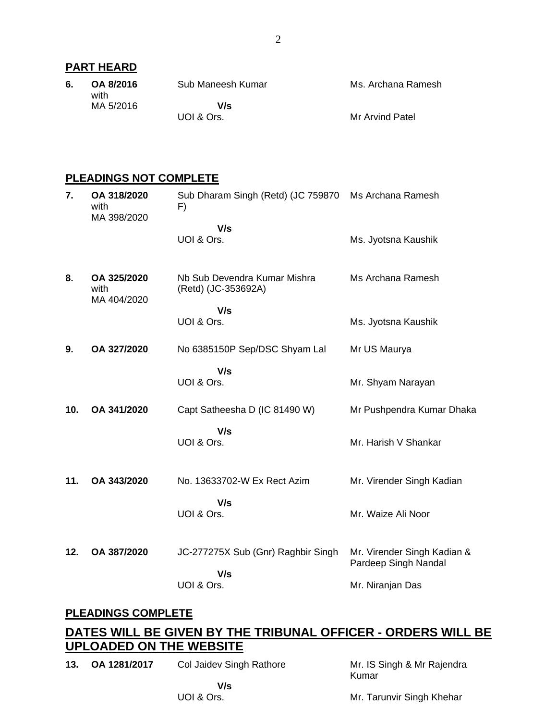# **PART HEARD**

| 6. | OA 8/2016<br>with | Sub Maneesh Kumar | Ms. Archana Ramesh |
|----|-------------------|-------------------|--------------------|
|    | MA 5/2016         | V/s<br>UOI & Ors. | Mr Arvind Patel    |

# **PLEADINGS NOT COMPLETE**

| 7.  | OA 318/2020<br>with<br>MA 398/2020 | Sub Dharam Singh (Retd) (JC 759870<br>F)<br>V/s     | Ms Archana Ramesh                                   |
|-----|------------------------------------|-----------------------------------------------------|-----------------------------------------------------|
|     |                                    | UOI & Ors.                                          | Ms. Jyotsna Kaushik                                 |
| 8.  | OA 325/2020<br>with<br>MA 404/2020 | Nb Sub Devendra Kumar Mishra<br>(Retd) (JC-353692A) | Ms Archana Ramesh                                   |
|     |                                    | V/s                                                 |                                                     |
|     |                                    | UOI & Ors.                                          | Ms. Jyotsna Kaushik                                 |
| 9.  | OA 327/2020                        | No 6385150P Sep/DSC Shyam Lal                       | Mr US Maurya                                        |
|     |                                    | V/s                                                 |                                                     |
|     |                                    | UOI & Ors.                                          | Mr. Shyam Narayan                                   |
| 10. | OA 341/2020                        | Capt Satheesha D (IC 81490 W)                       | Mr Pushpendra Kumar Dhaka                           |
|     |                                    | V/s                                                 |                                                     |
|     |                                    | UOI & Ors.                                          | Mr. Harish V Shankar                                |
| 11. | OA 343/2020                        | No. 13633702-W Ex Rect Azim                         | Mr. Virender Singh Kadian                           |
|     |                                    |                                                     |                                                     |
|     |                                    | V/s<br>UOI & Ors.                                   | Mr. Waize Ali Noor                                  |
|     |                                    |                                                     |                                                     |
| 12. | OA 387/2020                        | JC-277275X Sub (Gnr) Raghbir Singh                  | Mr. Virender Singh Kadian &<br>Pardeep Singh Nandal |
|     |                                    | V/s<br>UOI & Ors.                                   |                                                     |
|     |                                    |                                                     | Mr. Niranjan Das                                    |

# **PLEADINGS COMPLETE**

# **DATES WILL BE GIVEN BY THE TRIBUNAL OFFICER - ORDERS WILL BE UPLOADED ON THE WEBSITE**

**13. OA 1281/2017** Col Jaidev Singh Rathore

Mr. IS Singh & Mr Rajendra Kumar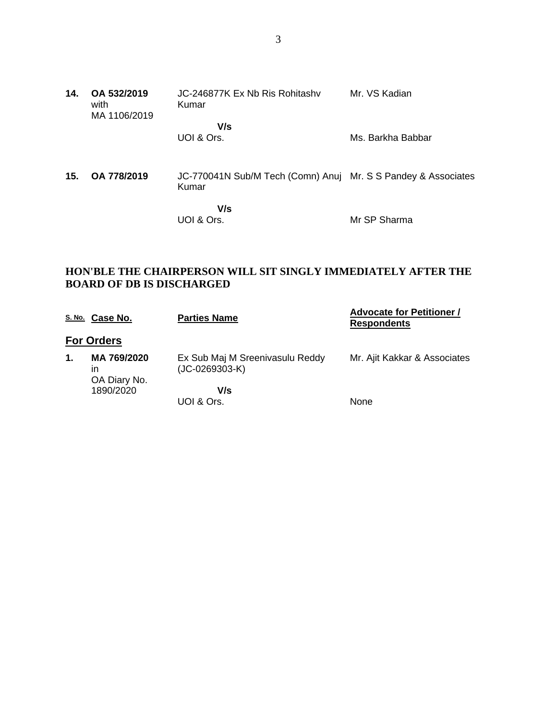| 14. | OA 532/2019<br>with<br>MA 1106/2019 | JC-246877K Ex Nb Ris Rohitashy<br>Kumar                                | Mr. VS Kadian     |
|-----|-------------------------------------|------------------------------------------------------------------------|-------------------|
|     |                                     | V/s<br>UOI & Ors.                                                      | Ms. Barkha Babbar |
| 15. | OA 778/2019                         | JC-770041N Sub/M Tech (Comn) Anuj Mr. S S Pandey & Associates<br>Kumar |                   |
|     |                                     | V/s<br>UOI & Ors.                                                      | Mr SP Sharma      |

### **HON'BLE THE CHAIRPERSON WILL SIT SINGLY IMMEDIATELY AFTER THE BOARD OF DB IS DISCHARGED**

|    | S. No. Case No.                   | <b>Parties Name</b>                               | <b>Advocate for Petitioner /</b><br><b>Respondents</b> |
|----|-----------------------------------|---------------------------------------------------|--------------------------------------------------------|
|    | <b>For Orders</b>                 |                                                   |                                                        |
| 1. | MA 769/2020<br>in<br>OA Diary No. | Ex Sub Maj M Sreenivasulu Reddy<br>(JC-0269303-K) | Mr. Ajit Kakkar & Associates                           |
|    | 1890/2020                         | V/s<br>UOI & Ors.                                 | None                                                   |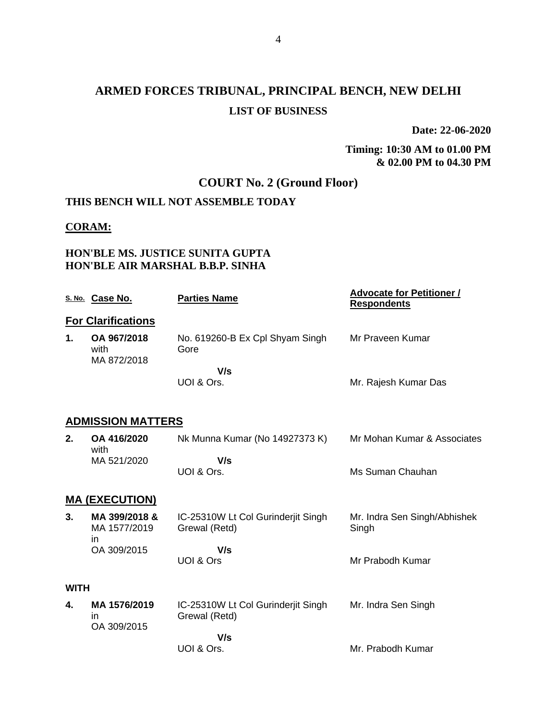# **ARMED FORCES TRIBUNAL, PRINCIPAL BENCH, NEW DELHI LIST OF BUSINESS**

**Date: 22-06-2020**

### **Timing: 10:30 AM to 01.00 PM & 02.00 PM to 04.30 PM**

# **COURT No. 2 (Ground Floor)**

# **THIS BENCH WILL NOT ASSEMBLE TODAY**

### **CORAM:**

### **HON'BLE MS. JUSTICE SUNITA GUPTA HON'BLE AIR MARSHAL B.B.P. SINHA**

|             | S. No. Case No.                     | <b>Parties Name</b>                                 | <b>Advocate for Petitioner /</b><br><b>Respondents</b> |
|-------------|-------------------------------------|-----------------------------------------------------|--------------------------------------------------------|
|             | <b>For Clarifications</b>           |                                                     |                                                        |
| 1.          | OA 967/2018<br>with<br>MA 872/2018  | No. 619260-B Ex Cpl Shyam Singh<br>Gore             | Mr Praveen Kumar                                       |
|             |                                     | V/s<br>UOI & Ors.                                   | Mr. Rajesh Kumar Das                                   |
|             | <b>ADMISSION MATTERS</b>            |                                                     |                                                        |
| 2.          | OA 416/2020<br>with                 | Nk Munna Kumar (No 14927373 K)                      | Mr Mohan Kumar & Associates                            |
|             | MA 521/2020                         | V/s<br>UOI & Ors.                                   | Ms Suman Chauhan                                       |
|             | <b>MA (EXECUTION)</b>               |                                                     |                                                        |
| 3.          | MA 399/2018 &<br>MA 1577/2019<br>ın | IC-25310W Lt Col Gurinderjit Singh<br>Grewal (Retd) | Mr. Indra Sen Singh/Abhishek<br>Singh                  |
|             | OA 309/2015                         | V/s<br>UOI & Ors                                    | Mr Prabodh Kumar                                       |
| <b>WITH</b> |                                     |                                                     |                                                        |
| 4.          | MA 1576/2019<br>in<br>OA 309/2015   | IC-25310W Lt Col Gurinderjit Singh<br>Grewal (Retd) | Mr. Indra Sen Singh                                    |
|             |                                     | V/s<br>UOI & Ors.                                   | Mr. Prabodh Kumar                                      |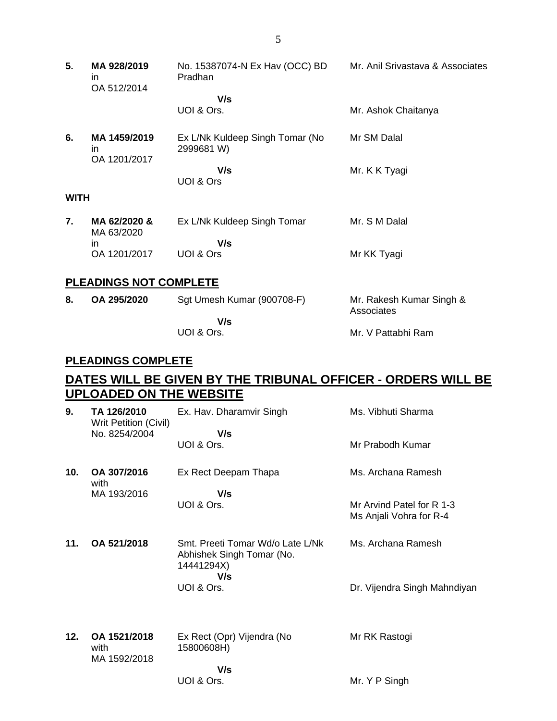- **5. MA 928/2019** in OA 512/2014 No. 15387074-N Ex Hav (OCC) BD Pradhan  **V/s** UOI & Ors. Mr. Anil Srivastava & Associates Mr. Ashok Chaitanya **6. MA 1459/2019** in OA 1201/2017 Ex L/Nk Kuldeep Singh Tomar (No 2999681 W)  **V/s** UOI & Ors Mr SM Dalal Mr. K K Tyagi **WITH 7. MA 62/2020 &** MA 63/2020 in OA 1201/2017 Ex L/Nk Kuldeep Singh Tomar  **V/s** UOI & Ors Mr. S M Dalal Mr KK Tyagi **PLEADINGS NOT COMPLETE**
- **8. OA 295/2020** Sgt Umesh Kumar (900708-F)  **V/s** UOI & Ors. Mr. Rakesh Kumar Singh & Associates Mr. V Pattabhi Ram

### **PLEADINGS COMPLETE**

# **DATES WILL BE GIVEN BY THE TRIBUNAL OFFICER - ORDERS WILL BE UPLOADED ON THE WEBSITE**

| 9.  | TA 126/2010<br><b>Writ Petition (Civil)</b> | Ex. Hav. Dharamvir Singh                                                    | Ms. Vibhuti Sharma                                   |
|-----|---------------------------------------------|-----------------------------------------------------------------------------|------------------------------------------------------|
|     | No. 8254/2004                               | V/s<br>UOI & Ors.                                                           | Mr Prabodh Kumar                                     |
| 10. | OA 307/2016<br>with                         | Ex Rect Deepam Thapa                                                        | Ms. Archana Ramesh                                   |
|     | MA 193/2016                                 | V/s<br>UOI & Ors.                                                           | Mr Arvind Patel for R 1-3<br>Ms Anjali Vohra for R-4 |
| 11. | OA 521/2018                                 | Smt. Preeti Tomar Wd/o Late L/Nk<br>Abhishek Singh Tomar (No.<br>14441294X) | Ms. Archana Ramesh                                   |
|     |                                             | V/s<br>UOI & Ors.                                                           | Dr. Vijendra Singh Mahndiyan                         |
| 12. | OA 1521/2018<br>with<br>MA 1592/2018        | Ex Rect (Opr) Vijendra (No<br>15800608H)                                    | Mr RK Rastogi                                        |
|     |                                             | V/s<br>UOI & Ors.                                                           | Mr. Y P Singh                                        |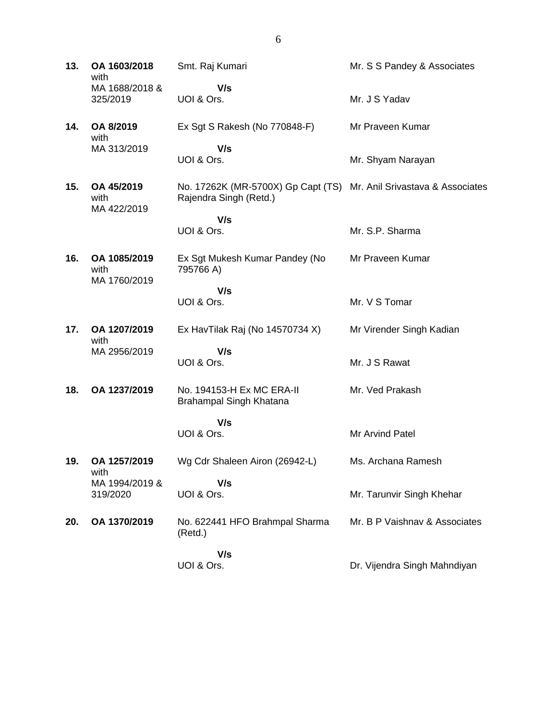| 13. | OA 1603/2018<br>with<br>MA 1688/2018 &<br>325/2019 | Smt. Raj Kumari                                                                               | Mr. S S Pandey & Associates   |
|-----|----------------------------------------------------|-----------------------------------------------------------------------------------------------|-------------------------------|
|     |                                                    | V/s<br>UOI & Ors.                                                                             | Mr. J S Yadav                 |
| 14. | OA 8/2019<br>with                                  | Ex Sgt S Rakesh (No 770848-F)                                                                 | Mr Praveen Kumar              |
|     | MA 313/2019                                        | V/s<br>UOI & Ors.                                                                             | Mr. Shyam Narayan             |
| 15. | OA 45/2019<br>with                                 | No. 17262K (MR-5700X) Gp Capt (TS) Mr. Anil Srivastava & Associates<br>Rajendra Singh (Retd.) |                               |
|     | MA 422/2019                                        | V/s<br>UOI & Ors.                                                                             | Mr. S.P. Sharma               |
| 16. | OA 1085/2019<br>with<br>MA 1760/2019               | Ex Sgt Mukesh Kumar Pandey (No<br>795766 A)                                                   | Mr Praveen Kumar              |
|     |                                                    | V/s<br>UOI & Ors.                                                                             | Mr. V S Tomar                 |
| 17. | OA 1207/2019<br>with                               | Ex HavTilak Raj (No 14570734 X)                                                               | Mr Virender Singh Kadian      |
|     | MA 2956/2019                                       | V/s<br>UOI & Ors.                                                                             | Mr. J S Rawat                 |
| 18. | OA 1237/2019                                       | No. 194153-H Ex MC ERA-II<br>Brahampal Singh Khatana                                          | Mr. Ved Prakash               |
|     |                                                    | V/s<br>UOI & Ors.                                                                             | Mr Arvind Patel               |
| 19. | OA 1257/2019<br>with                               | Wg Cdr Shaleen Airon (26942-L)                                                                | Ms. Archana Ramesh            |
|     | MA 1994/2019 &<br>319/2020                         | V/s<br>UOI & Ors.                                                                             | Mr. Tarunvir Singh Khehar     |
| 20. | OA 1370/2019                                       | No. 622441 HFO Brahmpal Sharma<br>(Retd.)                                                     | Mr. B P Vaishnav & Associates |
|     |                                                    | V/s                                                                                           |                               |

UOI & Ors.

Dr. Vijendra Singh Mahndiyan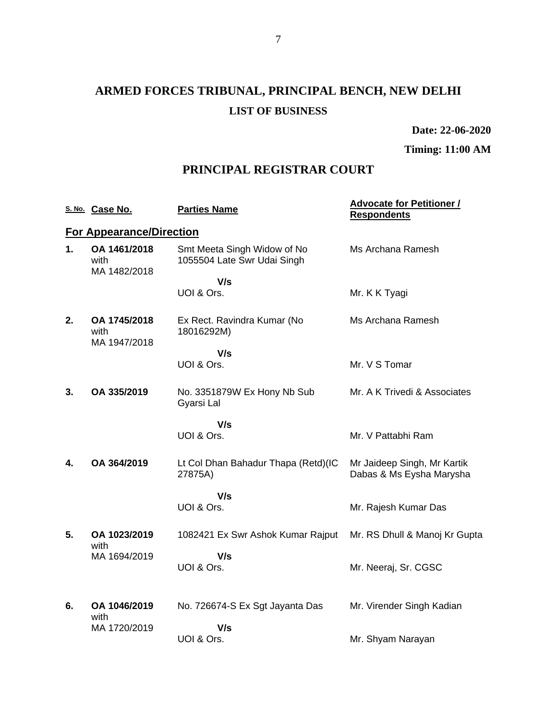# **ARMED FORCES TRIBUNAL, PRINCIPAL BENCH, NEW DELHI LIST OF BUSINESS**

**Date: 22-06-2020**

**Timing: 11:00 AM**

# **PRINCIPAL REGISTRAR COURT**

|    | S. No. Case No.                      | <b>Parties Name</b>                                        | <b>Advocate for Petitioner /</b><br><b>Respondents</b>  |
|----|--------------------------------------|------------------------------------------------------------|---------------------------------------------------------|
|    | <b>For Appearance/Direction</b>      |                                                            |                                                         |
| 1. | OA 1461/2018<br>with<br>MA 1482/2018 | Smt Meeta Singh Widow of No<br>1055504 Late Swr Udai Singh | Ms Archana Ramesh                                       |
|    |                                      | V/s                                                        |                                                         |
|    |                                      | UOI & Ors.                                                 | Mr. K K Tyagi                                           |
| 2. | OA 1745/2018<br>with<br>MA 1947/2018 | Ex Rect. Ravindra Kumar (No<br>18016292M)                  | Ms Archana Ramesh                                       |
|    |                                      | V/s                                                        |                                                         |
|    |                                      | UOI & Ors.                                                 | Mr. V S Tomar                                           |
| 3. | OA 335/2019                          | No. 3351879W Ex Hony Nb Sub<br>Gyarsi Lal                  | Mr. A K Trivedi & Associates                            |
|    |                                      | V/s                                                        |                                                         |
|    |                                      | UOI & Ors.                                                 | Mr. V Pattabhi Ram                                      |
| 4. | OA 364/2019                          | Lt Col Dhan Bahadur Thapa (Retd)(IC<br>27875A)             | Mr Jaideep Singh, Mr Kartik<br>Dabas & Ms Eysha Marysha |
|    |                                      | V/s                                                        |                                                         |
|    |                                      | UOI & Ors.                                                 | Mr. Rajesh Kumar Das                                    |
| 5. | OA 1023/2019<br>with                 | 1082421 Ex Swr Ashok Kumar Rajput                          | Mr. RS Dhull & Manoj Kr Gupta                           |
|    | MA 1694/2019                         | V/s<br>UOI & Ors.                                          |                                                         |
|    |                                      |                                                            | Mr. Neeraj, Sr. CGSC                                    |
| 6. | OA 1046/2019                         | No. 726674-S Ex Sgt Jayanta Das                            | Mr. Virender Singh Kadian                               |
|    | with                                 |                                                            |                                                         |
|    | MA 1720/2019                         | V/s<br>UOI & Ors.                                          | Mr. Shyam Narayan                                       |
|    |                                      |                                                            |                                                         |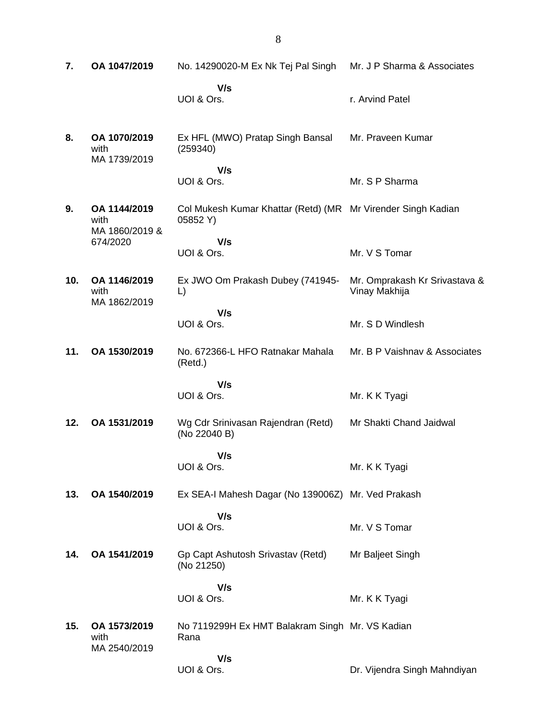| 7.  | OA 1047/2019                           | No. 14290020-M Ex Nk Tej Pal Singh                                       | Mr. J P Sharma & Associates                    |
|-----|----------------------------------------|--------------------------------------------------------------------------|------------------------------------------------|
|     |                                        | V/s<br>UOI & Ors.                                                        | r. Arvind Patel                                |
| 8.  | OA 1070/2019<br>with<br>MA 1739/2019   | Ex HFL (MWO) Pratap Singh Bansal<br>(259340)                             | Mr. Praveen Kumar                              |
|     |                                        | V/s<br>UOI & Ors.                                                        | Mr. S P Sharma                                 |
| 9.  | OA 1144/2019<br>with<br>MA 1860/2019 & | Col Mukesh Kumar Khattar (Retd) (MR Mr Virender Singh Kadian<br>05852 Y) |                                                |
|     | 674/2020                               | V/s<br>UOI & Ors.                                                        | Mr. V S Tomar                                  |
| 10. | OA 1146/2019<br>with<br>MA 1862/2019   | Ex JWO Om Prakash Dubey (741945-<br>L)                                   | Mr. Omprakash Kr Srivastava &<br>Vinay Makhija |
|     |                                        | V/s<br>UOI & Ors.                                                        | Mr. S D Windlesh                               |
| 11. | OA 1530/2019                           | No. 672366-L HFO Ratnakar Mahala<br>(Retd.)                              | Mr. B P Vaishnav & Associates                  |
|     |                                        | V/s<br>UOI & Ors.                                                        | Mr. K K Tyagi                                  |
| 12. | OA 1531/2019                           | Wg Cdr Srinivasan Rajendran (Retd)<br>(No 22040 B)                       | Mr Shakti Chand Jaidwal                        |
|     |                                        | V/s<br>UOI & Ors.                                                        | Mr. K K Tyagi                                  |
| 13. | OA 1540/2019                           | Ex SEA-I Mahesh Dagar (No 139006Z) Mr. Ved Prakash                       |                                                |
|     |                                        | V/s<br>UOI & Ors.                                                        | Mr. V S Tomar                                  |
| 14. | OA 1541/2019                           | Gp Capt Ashutosh Srivastav (Retd)<br>(No 21250)                          | Mr Baljeet Singh                               |
|     |                                        | V/s<br>UOI & Ors.                                                        | Mr. K K Tyagi                                  |
| 15. | OA 1573/2019<br>with<br>MA 2540/2019   | No 7119299H Ex HMT Balakram Singh Mr. VS Kadian<br>Rana                  |                                                |
|     |                                        | V/s<br>UOI & Ors.                                                        | Dr. Vijendra Singh Mahndiyan                   |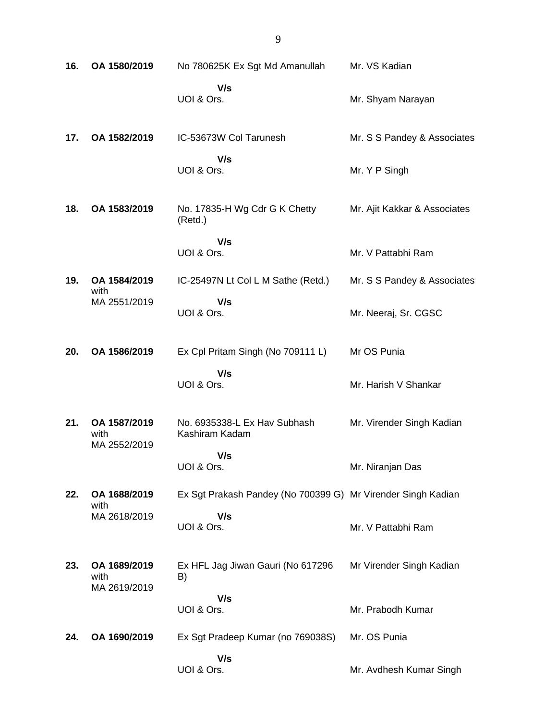| 16. | OA 1580/2019                         | No 780625K Ex Sgt Md Amanullah                               | Mr. VS Kadian                |
|-----|--------------------------------------|--------------------------------------------------------------|------------------------------|
|     |                                      | V/s<br>UOI & Ors.                                            | Mr. Shyam Narayan            |
| 17. | OA 1582/2019                         | IC-53673W Col Tarunesh                                       | Mr. S S Pandey & Associates  |
|     |                                      | V/s<br>UOI & Ors.                                            | Mr. Y P Singh                |
| 18. | OA 1583/2019                         | No. 17835-H Wg Cdr G K Chetty<br>(Retd.)                     | Mr. Ajit Kakkar & Associates |
|     |                                      | V/s<br>UOI & Ors.                                            | Mr. V Pattabhi Ram           |
| 19. | OA 1584/2019<br>with                 | IC-25497N Lt Col L M Sathe (Retd.)                           | Mr. S S Pandey & Associates  |
|     | MA 2551/2019                         | V/s<br>UOI & Ors.                                            | Mr. Neeraj, Sr. CGSC         |
| 20. | OA 1586/2019                         | Ex Cpl Pritam Singh (No 709111 L)                            | Mr OS Punia                  |
|     |                                      | V/s<br>UOI & Ors.                                            | Mr. Harish V Shankar         |
| 21. | OA 1587/2019<br>with<br>MA 2552/2019 | No. 6935338-L Ex Hav Subhash<br>Kashiram Kadam               | Mr. Virender Singh Kadian    |
|     |                                      | V/s<br>UOI & Ors.                                            | Mr. Niranjan Das             |
| 22. | OA 1688/2019<br>with                 | Ex Sgt Prakash Pandey (No 700399 G) Mr Virender Singh Kadian |                              |
|     | MA 2618/2019                         | V/s<br>UOI & Ors.                                            | Mr. V Pattabhi Ram           |
| 23. | OA 1689/2019<br>with<br>MA 2619/2019 | Ex HFL Jag Jiwan Gauri (No 617296<br>B)                      | Mr Virender Singh Kadian     |
|     |                                      | V/s<br>UOI & Ors.                                            | Mr. Prabodh Kumar            |
| 24. | OA 1690/2019                         | Ex Sgt Pradeep Kumar (no 769038S)                            | Mr. OS Punia                 |
|     |                                      | V/s<br>UOI & Ors.                                            | Mr. Avdhesh Kumar Singh      |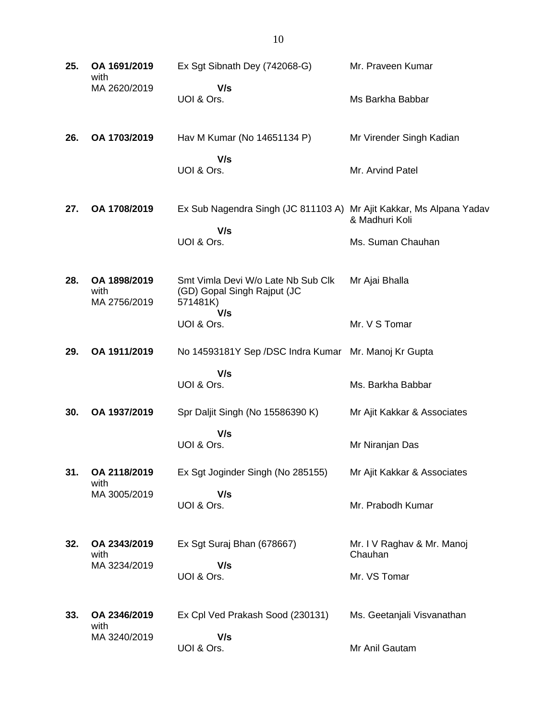| 25. | OA 1691/2019<br>with                 | Ex Sgt Sibnath Dey (742068-G)                                                        | Mr. Praveen Kumar                     |
|-----|--------------------------------------|--------------------------------------------------------------------------------------|---------------------------------------|
|     | MA 2620/2019                         | V/s<br>UOI & Ors.                                                                    | Ms Barkha Babbar                      |
| 26. | OA 1703/2019                         | Hav M Kumar (No 14651134 P)                                                          | Mr Virender Singh Kadian              |
|     |                                      | V/s<br>UOI & Ors.                                                                    | Mr. Arvind Patel                      |
| 27. | OA 1708/2019                         | Ex Sub Nagendra Singh (JC 811103 A) Mr Ajit Kakkar, Ms Alpana Yadav<br>V/s           | & Madhuri Koli                        |
|     |                                      | UOI & Ors.                                                                           | Ms. Suman Chauhan                     |
| 28. | OA 1898/2019<br>with<br>MA 2756/2019 | Smt Vimla Devi W/o Late Nb Sub Clk<br>(GD) Gopal Singh Rajput (JC<br>571481K)<br>V/s | Mr Ajai Bhalla                        |
|     |                                      | UOI & Ors.                                                                           | Mr. V S Tomar                         |
| 29. | OA 1911/2019                         | No 14593181Y Sep /DSC Indra Kumar Mr. Manoj Kr Gupta                                 |                                       |
|     |                                      | V/s<br>UOI & Ors.                                                                    | Ms. Barkha Babbar                     |
| 30. | OA 1937/2019                         | Spr Daljit Singh (No 15586390 K)                                                     | Mr Ajit Kakkar & Associates           |
|     |                                      | V/s<br>UOI & Ors.                                                                    | Mr Niranjan Das                       |
| 31. | OA 2118/2019<br>with                 | Ex Sgt Joginder Singh (No 285155)                                                    | Mr Ajit Kakkar & Associates           |
|     | MA 3005/2019                         | V/s<br>UOI & Ors.                                                                    | Mr. Prabodh Kumar                     |
| 32. | OA 2343/2019<br>with                 | Ex Sgt Suraj Bhan (678667)                                                           | Mr. I V Raghav & Mr. Manoj<br>Chauhan |
|     | MA 3234/2019                         | V/s<br>UOI & Ors.                                                                    | Mr. VS Tomar                          |
| 33. | OA 2346/2019<br>with                 | Ex Cpl Ved Prakash Sood (230131)                                                     | Ms. Geetanjali Visvanathan            |
|     | MA 3240/2019                         | V/s<br>UOI & Ors.                                                                    | Mr Anil Gautam                        |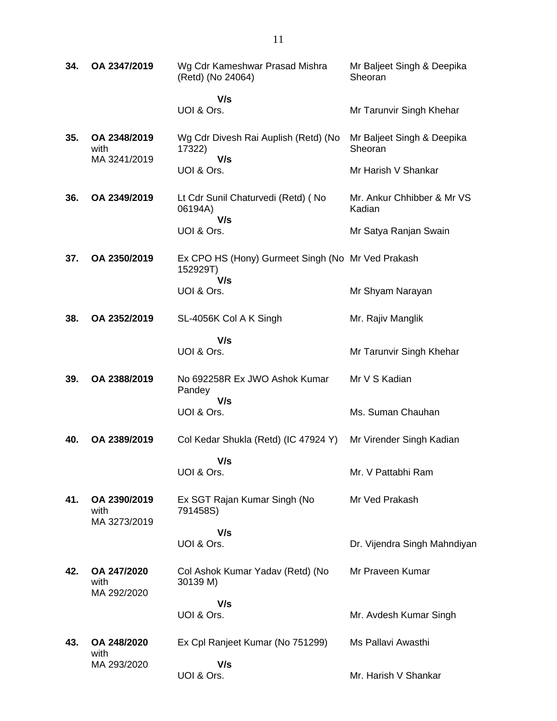| 34. | OA 2347/2019                         | Wg Cdr Kameshwar Prasad Mishra<br>(Retd) (No 24064)                  | Mr Baljeet Singh & Deepika<br>Sheoran |
|-----|--------------------------------------|----------------------------------------------------------------------|---------------------------------------|
|     |                                      | V/s<br>UOI & Ors.                                                    | Mr Tarunvir Singh Khehar              |
| 35. | OA 2348/2019<br>with<br>MA 3241/2019 | Wg Cdr Divesh Rai Auplish (Retd) (No<br>17322)<br>V/s                | Mr Baljeet Singh & Deepika<br>Sheoran |
|     |                                      | UOI & Ors.                                                           | Mr Harish V Shankar                   |
| 36. | OA 2349/2019                         | Lt Cdr Sunil Chaturvedi (Retd) (No<br>06194A)<br>V/s                 | Mr. Ankur Chhibber & Mr VS<br>Kadian  |
|     |                                      | UOI & Ors.                                                           | Mr Satya Ranjan Swain                 |
| 37. | OA 2350/2019                         | Ex CPO HS (Hony) Gurmeet Singh (No Mr Ved Prakash<br>152929T)<br>V/s |                                       |
|     |                                      | UOI & Ors.                                                           | Mr Shyam Narayan                      |
| 38. | OA 2352/2019                         | SL-4056K Col A K Singh                                               | Mr. Rajiv Manglik                     |
|     |                                      | V/s<br>UOI & Ors.                                                    | Mr Tarunvir Singh Khehar              |
| 39. | OA 2388/2019                         | No 692258R Ex JWO Ashok Kumar<br>Pandey                              | Mr V S Kadian                         |
|     |                                      | V/s<br>UOI & Ors.                                                    | Ms. Suman Chauhan                     |
| 40. | OA 2389/2019                         | Col Kedar Shukla (Retd) (IC 47924 Y)                                 | Mr Virender Singh Kadian              |
|     |                                      | V/s<br>UOI & Ors.                                                    | Mr. V Pattabhi Ram                    |
| 41. | OA 2390/2019<br>with<br>MA 3273/2019 | Ex SGT Rajan Kumar Singh (No<br>791458S)                             | Mr Ved Prakash                        |
|     |                                      | V/s<br>UOI & Ors.                                                    | Dr. Vijendra Singh Mahndiyan          |
| 42. | OA 247/2020<br>with<br>MA 292/2020   | Col Ashok Kumar Yadav (Retd) (No<br>30139 M)                         | Mr Praveen Kumar                      |
|     |                                      | V/s<br>UOI & Ors.                                                    | Mr. Avdesh Kumar Singh                |
|     |                                      |                                                                      |                                       |
| 43. | OA 248/2020<br>with                  | Ex Cpl Ranjeet Kumar (No 751299)                                     | Ms Pallavi Awasthi                    |
|     | MA 293/2020                          | V/s<br>UOI & Ors.                                                    | Mr. Harish V Shankar                  |